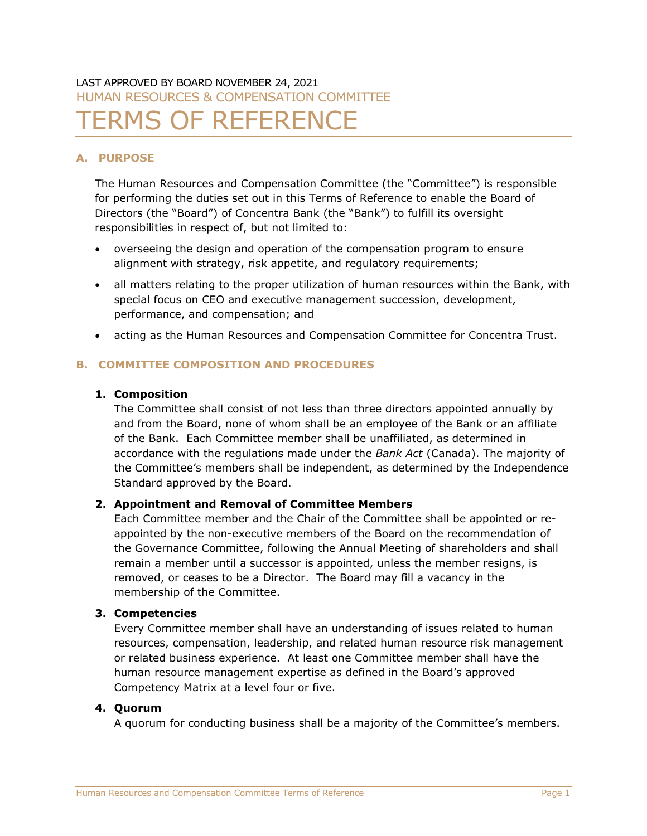# LAST APPROVED BY BOARD NOVEMBER 24, 2021 HUMAN RESOURCES & COMPENSATION COMMITTEE **ERMS OF REFERENCE**

## **A. PURPOSE**

The Human Resources and Compensation Committee (the "Committee") is responsible for performing the duties set out in this Terms of Reference to enable the Board of Directors (the "Board") of Concentra Bank (the "Bank") to fulfill its oversight responsibilities in respect of, but not limited to:

- overseeing the design and operation of the compensation program to ensure alignment with strategy, risk appetite, and regulatory requirements;
- all matters relating to the proper utilization of human resources within the Bank, with special focus on CEO and executive management succession, development, performance, and compensation; and
- acting as the Human Resources and Compensation Committee for Concentra Trust.

## **B. COMMITTEE COMPOSITION AND PROCEDURES**

## **1. Composition**

The Committee shall consist of not less than three directors appointed annually by and from the Board, none of whom shall be an employee of the Bank or an affiliate of the Bank. Each Committee member shall be unaffiliated, as determined in accordance with the regulations made under the *Bank Act* (Canada). The majority of the Committee's members shall be independent, as determined by the Independence Standard approved by the Board.

## **2. Appointment and Removal of Committee Members**

Each Committee member and the Chair of the Committee shall be appointed or reappointed by the non-executive members of the Board on the recommendation of the Governance Committee, following the Annual Meeting of shareholders and shall remain a member until a successor is appointed, unless the member resigns, is removed, or ceases to be a Director. The Board may fill a vacancy in the membership of the Committee.

## **3. Competencies**

Every Committee member shall have an understanding of issues related to human resources, compensation, leadership, and related human resource risk management or related business experience. At least one Committee member shall have the human resource management expertise as defined in the Board's approved Competency Matrix at a level four or five.

## **4. Quorum**

A quorum for conducting business shall be a majority of the Committee's members.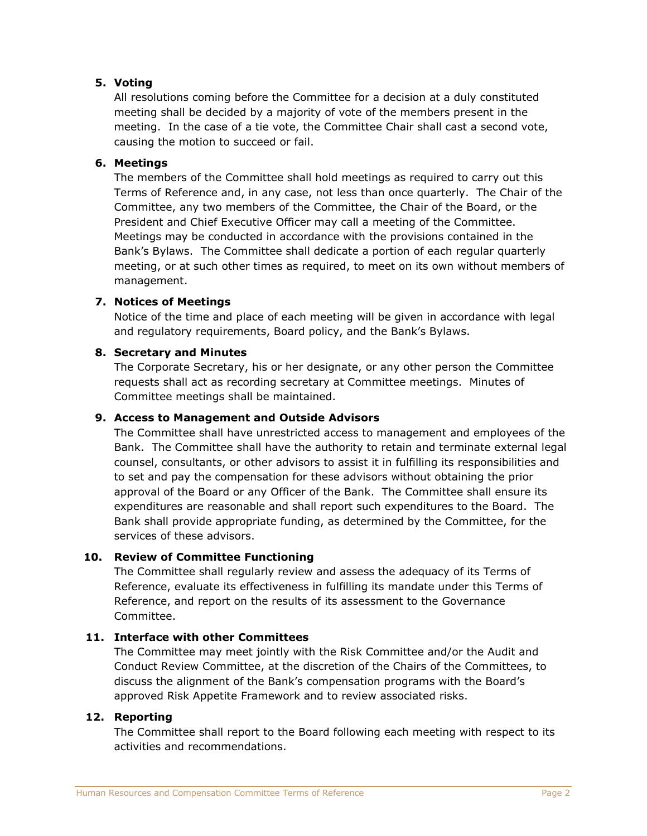## **5. Voting**

All resolutions coming before the Committee for a decision at a duly constituted meeting shall be decided by a majority of vote of the members present in the meeting. In the case of a tie vote, the Committee Chair shall cast a second vote, causing the motion to succeed or fail.

#### **6. Meetings**

The members of the Committee shall hold meetings as required to carry out this Terms of Reference and, in any case, not less than once quarterly. The Chair of the Committee, any two members of the Committee, the Chair of the Board, or the President and Chief Executive Officer may call a meeting of the Committee. Meetings may be conducted in accordance with the provisions contained in the Bank's Bylaws. The Committee shall dedicate a portion of each regular quarterly meeting, or at such other times as required, to meet on its own without members of management.

#### **7. Notices of Meetings**

Notice of the time and place of each meeting will be given in accordance with legal and regulatory requirements, Board policy, and the Bank's Bylaws.

#### **8. Secretary and Minutes**

The Corporate Secretary, his or her designate, or any other person the Committee requests shall act as recording secretary at Committee meetings. Minutes of Committee meetings shall be maintained.

#### **9. Access to Management and Outside Advisors**

The Committee shall have unrestricted access to management and employees of the Bank. The Committee shall have the authority to retain and terminate external legal counsel, consultants, or other advisors to assist it in fulfilling its responsibilities and to set and pay the compensation for these advisors without obtaining the prior approval of the Board or any Officer of the Bank. The Committee shall ensure its expenditures are reasonable and shall report such expenditures to the Board. The Bank shall provide appropriate funding, as determined by the Committee, for the services of these advisors.

#### **10. Review of Committee Functioning**

The Committee shall regularly review and assess the adequacy of its Terms of Reference, evaluate its effectiveness in fulfilling its mandate under this Terms of Reference, and report on the results of its assessment to the Governance Committee.

#### **11. Interface with other Committees**

The Committee may meet jointly with the Risk Committee and/or the Audit and Conduct Review Committee, at the discretion of the Chairs of the Committees, to discuss the alignment of the Bank's compensation programs with the Board's approved Risk Appetite Framework and to review associated risks.

#### **12. Reporting**

The Committee shall report to the Board following each meeting with respect to its activities and recommendations.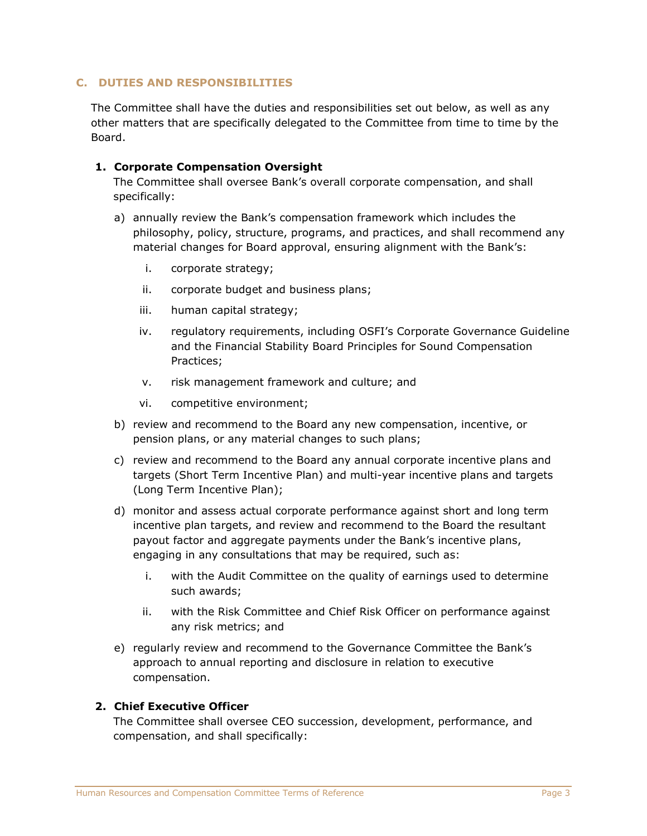#### **C. DUTIES AND RESPONSIBILITIES**

The Committee shall have the duties and responsibilities set out below, as well as any other matters that are specifically delegated to the Committee from time to time by the Board.

#### **1. Corporate Compensation Oversight**

The Committee shall oversee Bank's overall corporate compensation, and shall specifically:

- a) annually review the Bank's compensation framework which includes the philosophy, policy, structure, programs, and practices, and shall recommend any material changes for Board approval, ensuring alignment with the Bank's:
	- i. corporate strategy;
	- ii. corporate budget and business plans;
	- iii. human capital strategy;
	- iv. regulatory requirements, including OSFI's Corporate Governance Guideline and the Financial Stability Board Principles for Sound Compensation Practices;
	- v. risk management framework and culture; and
	- vi. competitive environment;
- b) review and recommend to the Board any new compensation, incentive, or pension plans, or any material changes to such plans;
- c) review and recommend to the Board any annual corporate incentive plans and targets (Short Term Incentive Plan) and multi-year incentive plans and targets (Long Term Incentive Plan);
- d) monitor and assess actual corporate performance against short and long term incentive plan targets, and review and recommend to the Board the resultant payout factor and aggregate payments under the Bank's incentive plans, engaging in any consultations that may be required, such as:
	- i. with the Audit Committee on the quality of earnings used to determine such awards;
	- ii. with the Risk Committee and Chief Risk Officer on performance against any risk metrics; and
- e) regularly review and recommend to the Governance Committee the Bank's approach to annual reporting and disclosure in relation to executive compensation.

#### **2. Chief Executive Officer**

The Committee shall oversee CEO succession, development, performance, and compensation, and shall specifically: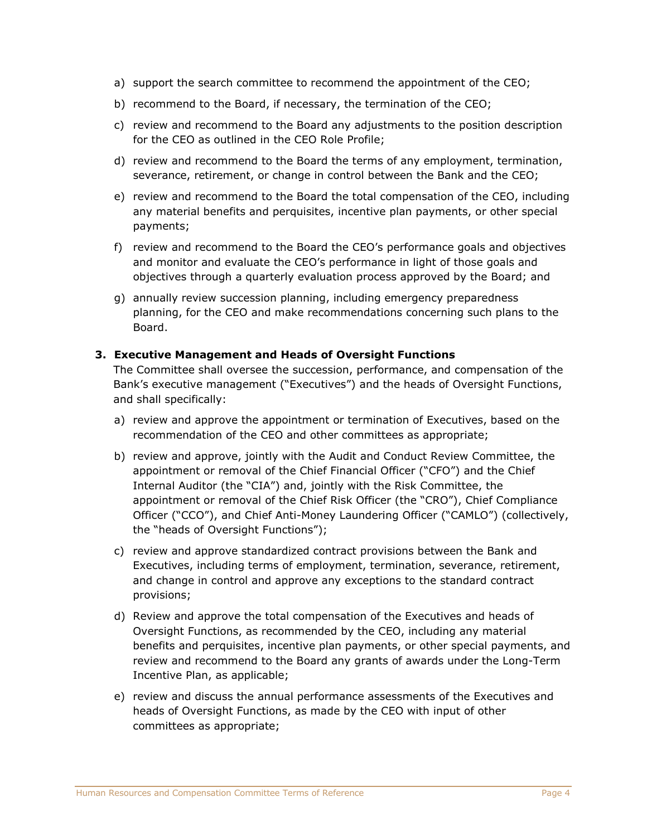- a) support the search committee to recommend the appointment of the CEO;
- b) recommend to the Board, if necessary, the termination of the CEO;
- c) review and recommend to the Board any adjustments to the position description for the CEO as outlined in the CEO Role Profile;
- d) review and recommend to the Board the terms of any employment, termination, severance, retirement, or change in control between the Bank and the CEO;
- e) review and recommend to the Board the total compensation of the CEO, including any material benefits and perquisites, incentive plan payments, or other special payments;
- f) review and recommend to the Board the CEO's performance goals and objectives and monitor and evaluate the CEO's performance in light of those goals and objectives through a quarterly evaluation process approved by the Board; and
- g) annually review succession planning, including emergency preparedness planning, for the CEO and make recommendations concerning such plans to the Board.

#### **3. Executive Management and Heads of Oversight Functions**

The Committee shall oversee the succession, performance, and compensation of the Bank's executive management ("Executives") and the heads of Oversight Functions, and shall specifically:

- a) review and approve the appointment or termination of Executives, based on the recommendation of the CEO and other committees as appropriate;
- b) review and approve, jointly with the Audit and Conduct Review Committee, the appointment or removal of the Chief Financial Officer ("CFO") and the Chief Internal Auditor (the "CIA") and, jointly with the Risk Committee, the appointment or removal of the Chief Risk Officer (the "CRO"), Chief Compliance Officer ("CCO"), and Chief Anti-Money Laundering Officer ("CAMLO") (collectively, the "heads of Oversight Functions");
- c) review and approve standardized contract provisions between the Bank and Executives, including terms of employment, termination, severance, retirement, and change in control and approve any exceptions to the standard contract provisions;
- d) Review and approve the total compensation of the Executives and heads of Oversight Functions, as recommended by the CEO, including any material benefits and perquisites, incentive plan payments, or other special payments, and review and recommend to the Board any grants of awards under the Long-Term Incentive Plan, as applicable;
- e) review and discuss the annual performance assessments of the Executives and heads of Oversight Functions, as made by the CEO with input of other committees as appropriate;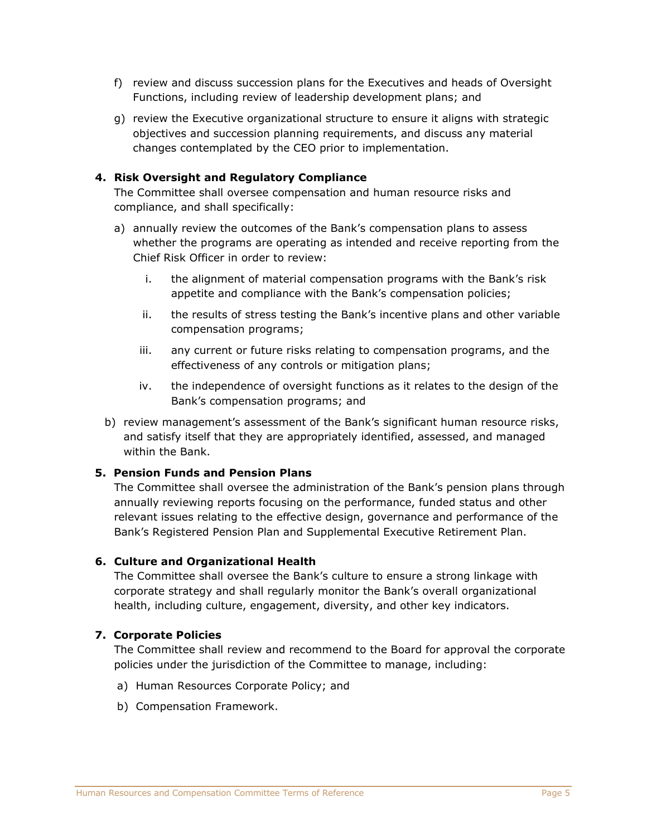- f) review and discuss succession plans for the Executives and heads of Oversight Functions, including review of leadership development plans; and
- g) review the Executive organizational structure to ensure it aligns with strategic objectives and succession planning requirements, and discuss any material changes contemplated by the CEO prior to implementation.

#### **4. Risk Oversight and Regulatory Compliance**

The Committee shall oversee compensation and human resource risks and compliance, and shall specifically:

- a) annually review the outcomes of the Bank's compensation plans to assess whether the programs are operating as intended and receive reporting from the Chief Risk Officer in order to review:
	- i. the alignment of material compensation programs with the Bank's risk appetite and compliance with the Bank's compensation policies;
	- ii. the results of stress testing the Bank's incentive plans and other variable compensation programs;
	- iii. any current or future risks relating to compensation programs, and the effectiveness of any controls or mitigation plans;
	- iv. the independence of oversight functions as it relates to the design of the Bank's compensation programs; and
- b) review management's assessment of the Bank's significant human resource risks, and satisfy itself that they are appropriately identified, assessed, and managed within the Bank.

#### **5. Pension Funds and Pension Plans**

The Committee shall oversee the administration of the Bank's pension plans through annually reviewing reports focusing on the performance, funded status and other relevant issues relating to the effective design, governance and performance of the Bank's Registered Pension Plan and Supplemental Executive Retirement Plan.

#### **6. Culture and Organizational Health**

The Committee shall oversee the Bank's culture to ensure a strong linkage with corporate strategy and shall regularly monitor the Bank's overall organizational health, including culture, engagement, diversity, and other key indicators.

#### **7. Corporate Policies**

The Committee shall review and recommend to the Board for approval the corporate policies under the jurisdiction of the Committee to manage, including:

- a) Human Resources Corporate Policy; and
- b) Compensation Framework.